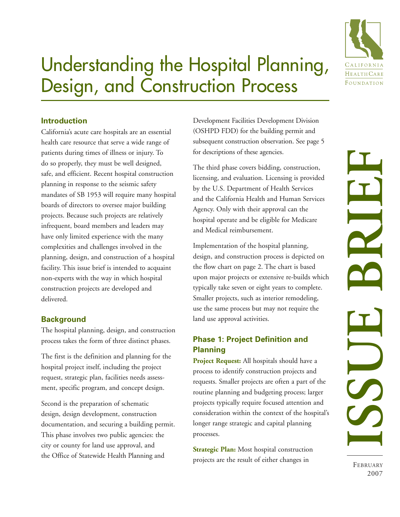

# Understanding the Hospital Planning, Design, and Construction Process

## **Introduction**

California's acute care hospitals are an essential health care resource that serve a wide range of patients during times of illness or injury. To do so properly, they must be well designed, safe, and efficient. Recent hospital construction planning in response to the seismic safety mandates of SB 1953 will require many hospital boards of directors to oversee major building projects. Because such projects are relatively infrequent, board members and leaders may have only limited experience with the many complexities and challenges involved in the planning, design, and construction of a hospital facility. This issue brief is intended to acquaint non-experts with the way in which hospital construction projects are developed and delivered.

## **Background**

The hospital planning, design, and construction process takes the form of three distinct phases.

The first is the definition and planning for the hospital project itself, including the project request, strategic plan, facilities needs assessment, specific program, and concept design.

Second is the preparation of schematic design, design development, construction documentation, and securing a building permit. This phase involves two public agencies: the city or county for land use approval, and the Office of Statewide Health Planning and

Development Facilities Development Division (OSHPD FDD) for the building permit and subsequent construction observation. See page 5 for descriptions of these agencies.

The third phase covers bidding, construction, licensing, and evaluation. Licensing is provided by the U.S. Department of Health Services and the California Health and Human Services Agency. Only with their approval can the hospital operate and be eligible for Medicare and Medical reimbursement.

Implementation of the hospital planning, design, and construction process is depicted on the flow chart on page 2. The chart is based upon major projects or extensive re-builds which typically take seven or eight years to complete. Smaller projects, such as interior remodeling, use the same process but may not require the land use approval activities.

## **Phase 1: Project Definition and Planning**

**Project Request:** All hospitals should have a process to identify construction projects and requests. Smaller projects are often a part of the routine planning and budgeting process; larger projects typically require focused attention and consideration within the context of the hospital's longer range strategic and capital planning processes.

**Strategic Plan:** Most hospital construction projects are the result of either changes in

FEBRUARY 2007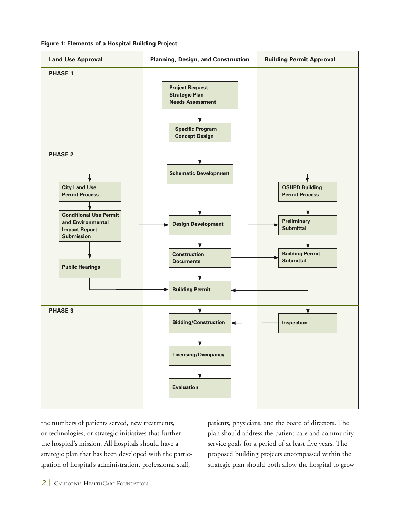**Figure 1: Elements of a Hospital Building Project** 



the numbers of patients served, new treatments, or technologies, or strategic initiatives that further the hospital's mission. All hospitals should have a strategic plan that has been developed with the participation of hospital's administration, professional staff,

patients, physicians, and the board of directors. The plan should address the patient care and community service goals for a period of at least five years. The proposed building projects encompassed within the strategic plan should both allow the hospital to grow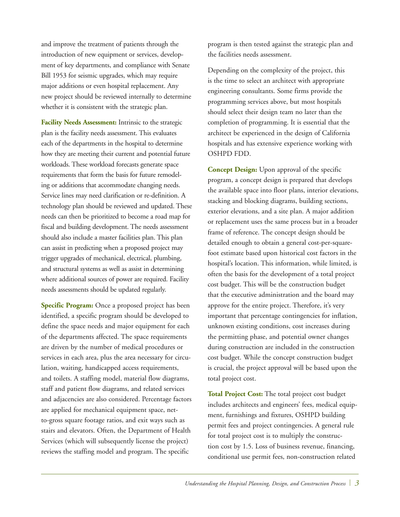and improve the treatment of patients through the introduction of new equipment or services, development of key departments, and compliance with Senate Bill 1953 for seismic upgrades, which may require major additions or even hospital replacement. Any new project should be reviewed internally to determine whether it is consistent with the strategic plan.

**Facility Needs Assessment:** Intrinsic to the strategic plan is the facility needs assessment. This evaluates each of the departments in the hospital to determine how they are meeting their current and potential future workloads. These workload forecasts generate space requirements that form the basis for future remodeling or additions that accommodate changing needs. Service lines may need clarification or re-definition. A technology plan should be reviewed and updated. These needs can then be prioritized to become a road map for fiscal and building development. The needs assessment should also include a master facilities plan. This plan can assist in predicting when a proposed project may trigger upgrades of mechanical, electrical, plumbing, and structural systems as well as assist in determining where additional sources of power are required. Facility needs assessments should be updated regularly.

**Specific Program:** Once a proposed project has been identified, a specific program should be developed to define the space needs and major equipment for each of the departments affected. The space requirements are driven by the number of medical procedures or services in each area, plus the area necessary for circulation, waiting, handicapped access requirements, and toilets. A staffing model, material flow diagrams, staff and patient flow diagrams, and related services and adjacencies are also considered. Percentage factors are applied for mechanical equipment space, netto-gross square footage ratios, and exit ways such as stairs and elevators. Often, the Department of Health Services (which will subsequently license the project) reviews the staffing model and program. The specific

program is then tested against the strategic plan and the facilities needs assessment.

Depending on the complexity of the project, this is the time to select an architect with appropriate engineering consultants. Some firms provide the programming services above, but most hospitals should select their design team no later than the completion of programming. It is essential that the architect be experienced in the design of California hospitals and has extensive experience working with OSHPD FDD.

**Concept Design:** Upon approval of the specific program, a concept design is prepared that develops the available space into floor plans, interior elevations, stacking and blocking diagrams, building sections, exterior elevations, and a site plan. A major addition or replacement uses the same process but in a broader frame of reference. The concept design should be detailed enough to obtain a general cost-per-squarefoot estimate based upon historical cost factors in the hospital's location. This information, while limited, is often the basis for the development of a total project cost budget. This will be the construction budget that the executive administration and the board may approve for the entire project. Therefore, it's very important that percentage contingencies for inflation, unknown existing conditions, cost increases during the permitting phase, and potential owner changes during construction are included in the construction cost budget. While the concept construction budget is crucial, the project approval will be based upon the total project cost.

**Total Project Cost:** The total project cost budget includes architects and engineers' fees, medical equipment, furnishings and fixtures, OSHPD building permit fees and project contingencies. A general rule for total project cost is to multiply the construction cost by 1.5. Loss of business revenue, financing, conditional use permit fees, non-construction related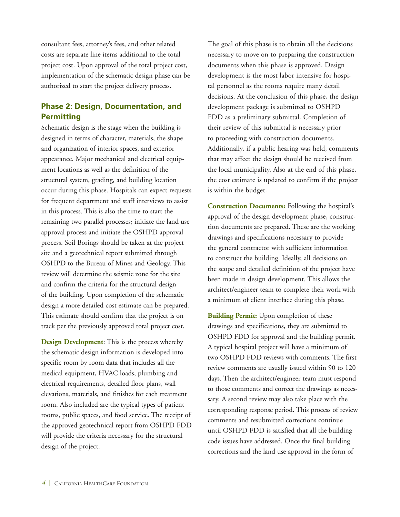consultant fees, attorney's fees, and other related costs are separate line items additional to the total project cost. Upon approval of the total project cost, implementation of the schematic design phase can be authorized to start the project delivery process.

## **Phase 2: Design, Documentation, and Permitting**

Schematic design is the stage when the building is designed in terms of character, materials, the shape and organization of interior spaces, and exterior appearance. Major mechanical and electrical equipment locations as well as the definition of the structural system, grading, and building location occur during this phase. Hospitals can expect requests for frequent department and staff interviews to assist in this process. This is also the time to start the remaining two parallel processes; initiate the land use approval process and initiate the OSHPD approval process. Soil Borings should be taken at the project site and a geotechnical report submitted through OSHPD to the Bureau of Mines and Geology. This review will determine the seismic zone for the site and confirm the criteria for the structural design of the building. Upon completion of the schematic design a more detailed cost estimate can be prepared. This estimate should confirm that the project is on track per the previously approved total project cost.

**Design Development**: This is the process whereby the schematic design information is developed into specific room by room data that includes all the medical equipment, HVAC loads, plumbing and electrical requirements, detailed floor plans, wall elevations, materials, and finishes for each treatment room. Also included are the typical types of patient rooms, public spaces, and food service. The receipt of the approved geotechnical report from OSHPD FDD will provide the criteria necessary for the structural design of the project.

The goal of this phase is to obtain all the decisions necessary to move on to preparing the construction documents when this phase is approved. Design development is the most labor intensive for hospital personnel as the rooms require many detail decisions. At the conclusion of this phase, the design development package is submitted to OSHPD FDD as a preliminary submittal. Completion of their review of this submittal is necessary prior to proceeding with construction documents. Additionally, if a public hearing was held, comments that may affect the design should be received from the local municipality. Also at the end of this phase, the cost estimate is updated to confirm if the project is within the budget.

**Construction Documents:** Following the hospital's approval of the design development phase, construction documents are prepared. These are the working drawings and specifications necessary to provide the general contractor with sufficient information to construct the building. Ideally, all decisions on the scope and detailed definition of the project have been made in design development. This allows the architect/engineer team to complete their work with a minimum of client interface during this phase.

**Building Permit:** Upon completion of these drawings and specifications, they are submitted to OSHPD FDD for approval and the building permit. A typical hospital project will have a minimum of two OSHPD FDD reviews with comments. The first review comments are usually issued within 90 to 120 days. Then the architect/engineer team must respond to those comments and correct the drawings as necessary. A second review may also take place with the corresponding response period. This process of review comments and resubmitted corrections continue until OSHPD FDD is satisfied that all the building code issues have addressed. Once the final building corrections and the land use approval in the form of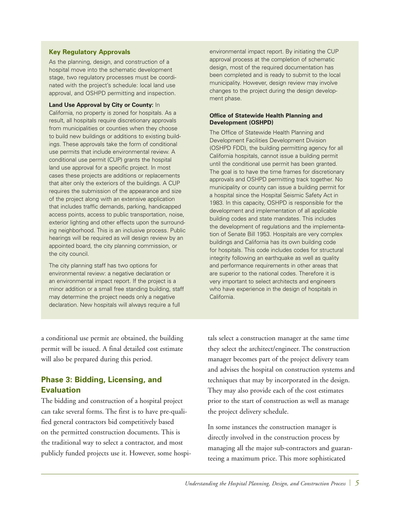#### **Key Regulatory Approvals**

As the planning, design, and construction of a hospital move into the schematic development stage, two regulatory processes must be coordinated with the project's schedule: local land use approval, and OSHPD permitting and inspection.

#### **Land Use Approval by City or County:** In

California, no property is zoned for hospitals. As a result, all hospitals require discretionary approvals from municipalities or counties when they choose to build new buildings or additions to existing buildings. These approvals take the form of conditional use permits that include environmental review. A conditional use permit (CUP) grants the hospital land use approval for a specific project. In most cases these projects are additions or replacements that alter only the exteriors of the buildings. A CUP requires the submission of the appearance and size of the project along with an extensive application that includes traffic demands, parking, handicapped access points, access to public transportation, noise, exterior lighting and other effects upon the surrounding neighborhood. This is an inclusive process. Public hearings will be required as will design review by an appointed board, the city planning commission, or the city council.

The city planning staff has two options for environmental review: a negative declaration or an environmental impact report. If the project is a minor addition or a small free standing building, staff may determine the project needs only a negative declaration. New hospitals will always require a full

environmental impact report. By initiating the CUP approval process at the completion of schematic design, most of the required documentation has been completed and is ready to submit to the local municipality. However, design review may involve changes to the project during the design development phase.

#### **Office of Statewide Health Planning and Development (OSHPD)**

The Office of Statewide Health Planning and Development Facilities Development Division (OSHPD FDD), the building permitting agency for all California hospitals, cannot issue a building permit until the conditional use permit has been granted. The goal is to have the time frames for discretionary approvals and OSHPD permitting track together. No municipality or county can issue a building permit for a hospital since the Hospital Seismic Safety Act in 1983. In this capacity, OSHPD is responsible for the development and implementation of all applicable building codes and state mandates. This includes the development of regulations and the implementation of Senate Bill 1953. Hospitals are very complex buildings and California has its own building code for hospitals. This code includes codes for structural integrity following an earthquake as well as quality and performance requirements in other areas that are superior to the national codes. Therefore it is very important to select architects and engineers who have experience in the design of hospitals in California.

a conditional use permit are obtained, the building permit will be issued. A final detailed cost estimate will also be prepared during this period.

## **Phase 3: Bidding, Licensing, and Evaluation**

The bidding and construction of a hospital project can take several forms. The first is to have pre-qualified general contractors bid competitively based on the permitted construction documents. This is the traditional way to select a contractor, and most publicly funded projects use it. However, some hospitals select a construction manager at the same time they select the architect/engineer. The construction manager becomes part of the project delivery team and advises the hospital on construction systems and techniques that may by incorporated in the design. They may also provide each of the cost estimates prior to the start of construction as well as manage the project delivery schedule.

In some instances the construction manager is directly involved in the construction process by managing all the major sub-contractors and guaranteeing a maximum price. This more sophisticated